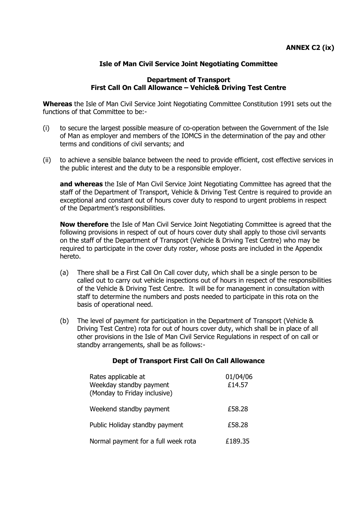# **Isle of Man Civil Service Joint Negotiating Committee**

### **Department of Transport First Call On Call Allowance – Vehicle& Driving Test Centre**

**Whereas** the Isle of Man Civil Service Joint Negotiating Committee Constitution 1991 sets out the functions of that Committee to be:-

- (i) to secure the largest possible measure of co-operation between the Government of the Isle of Man as employer and members of the IOMCS in the determination of the pay and other terms and conditions of civil servants; and
- (ii) to achieve a sensible balance between the need to provide efficient, cost effective services in the public interest and the duty to be a responsible employer.

**and whereas** the Isle of Man Civil Service Joint Negotiating Committee has agreed that the staff of the Department of Transport, Vehicle & Driving Test Centre is required to provide an exceptional and constant out of hours cover duty to respond to urgent problems in respect of the Department's responsibilities.

**Now therefore** the Isle of Man Civil Service Joint Negotiating Committee is agreed that the following provisions in respect of out of hours cover duty shall apply to those civil servants on the staff of the Department of Transport (Vehicle & Driving Test Centre) who may be required to participate in the cover duty roster, whose posts are included in the Appendix hereto.

- (a) There shall be a First Call On Call cover duty, which shall be a single person to be called out to carry out vehicle inspections out of hours in respect of the responsibilities of the Vehicle & Driving Test Centre. It will be for management in consultation with staff to determine the numbers and posts needed to participate in this rota on the basis of operational need.
- (b) The level of payment for participation in the Department of Transport (Vehicle & Driving Test Centre) rota for out of hours cover duty, which shall be in place of all other provisions in the Isle of Man Civil Service Regulations in respect of on call or standby arrangements, shall be as follows:-

### **Dept of Transport First Call On Call Allowance**

| Rates applicable at<br>Weekday standby payment<br>(Monday to Friday inclusive) | 01/04/06<br>£14.57 |
|--------------------------------------------------------------------------------|--------------------|
| Weekend standby payment                                                        | £58.28             |
| Public Holiday standby payment                                                 | £58.28             |
| Normal payment for a full week rota                                            | £189.35            |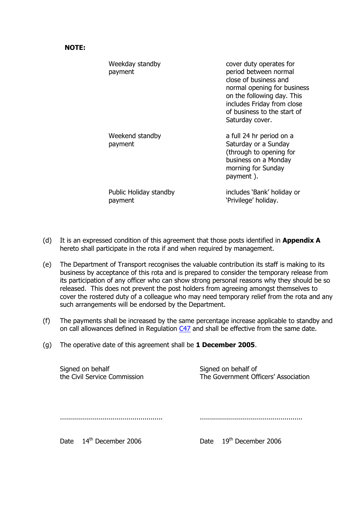#### **NOTE:**

| Weekday standby<br>payment        | cover duty operates for<br>period between normal<br>close of business and<br>normal opening for business<br>on the following day. This<br>includes Friday from close<br>of business to the start of<br>Saturday cover. |
|-----------------------------------|------------------------------------------------------------------------------------------------------------------------------------------------------------------------------------------------------------------------|
| Weekend standby<br>payment        | a full 24 hr period on a<br>Saturday or a Sunday<br>(through to opening for<br>business on a Monday<br>morning for Sunday<br>payment).                                                                                 |
| Public Holiday standby<br>payment | includes 'Bank' holiday or<br>'Privilege' holiday.                                                                                                                                                                     |

- (d) It is an expressed condition of this agreement that those posts identified in **Appendix A** hereto shall participate in the rota if and when required by management.
- (e) The Department of Transport recognises the valuable contribution its staff is making to its business by acceptance of this rota and is prepared to consider the temporary release from its participation of any officer who can show strong personal reasons why they should be so released. This does not prevent the post holders from agreeing amongst themselves to cover the rostered duty of a colleague who may need temporary relief from the rota and any such arrangements will be endorsed by the Department.
- (f) The payments shall be increased by the same percentage increase applicable to standby and on call allowances defined in Regulation [C47](http://www.gov.im/personnel/iomcs/cs_regs/section_C/overtime.xml#c47) and shall be effective from the same date.
- (g) The operative date of this agreement shall be **1 December 2005**.

| Signed on behalf             | Signed on behalf of                  |
|------------------------------|--------------------------------------|
| the Civil Service Commission | The Government Officers' Association |
|                              |                                      |

Date 14<sup>th</sup> December 2006 Date 19<sup>th</sup> December 2006